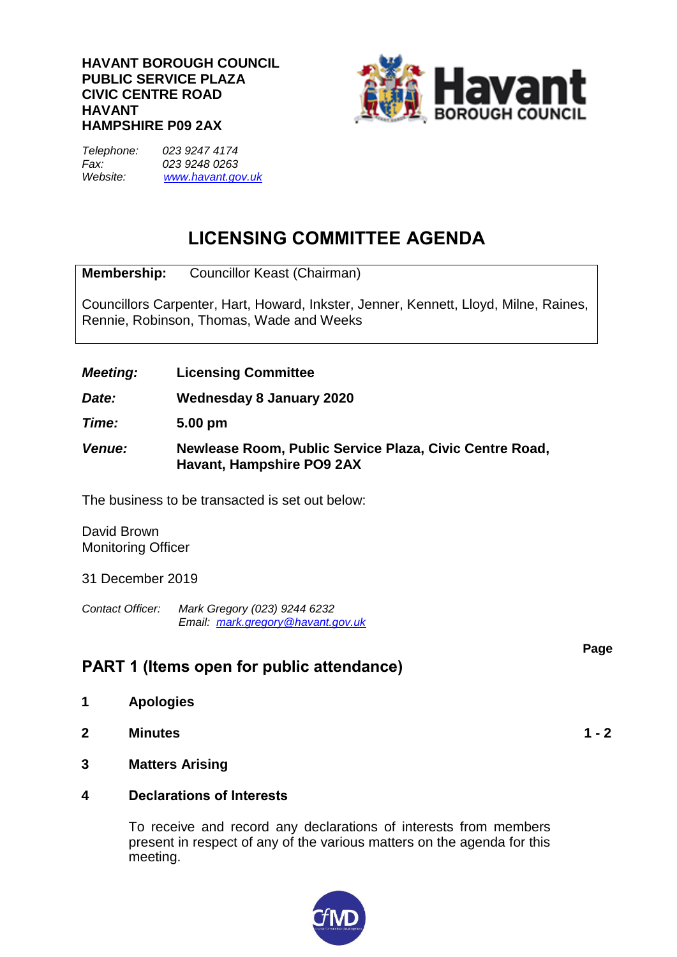#### **HAVANT BOROUGH COUNCIL PUBLIC SERVICE PLAZA CIVIC CENTRE ROAD HAVANT HAMPSHIRE P09 2AX**



*Telephone: 023 9247 4174 Fax: 023 9248 0263 Website: [www.havant.gov.uk](http://www.easthants.gov.uk/)*

# **LICENSING COMMITTEE AGENDA**

**Membership:** Councillor Keast (Chairman)

Councillors Carpenter, Hart, Howard, Inkster, Jenner, Kennett, Lloyd, Milne, Raines, Rennie, Robinson, Thomas, Wade and Weeks

*Meeting:* **Licensing Committee**

*Date:* **Wednesday 8 January 2020**

*Time:* **5.00 pm**

*Venue:* **Newlease Room, Public Service Plaza, Civic Centre Road, Havant, Hampshire PO9 2AX**

The business to be transacted is set out below:

David Brown Monitoring Officer

31 December 2019

*Contact Officer: Mark Gregory (023) 9244 6232 Email: mark.gregory@havant.gov.uk*

### **PART 1 (Items open for public attendance)**

- **1 Apologies**
- **2 Minutes 1 - 2**
- **3 Matters Arising**
- **4 Declarations of Interests**

To receive and record any declarations of interests from members present in respect of any of the various matters on the agenda for this meeting.



**Page**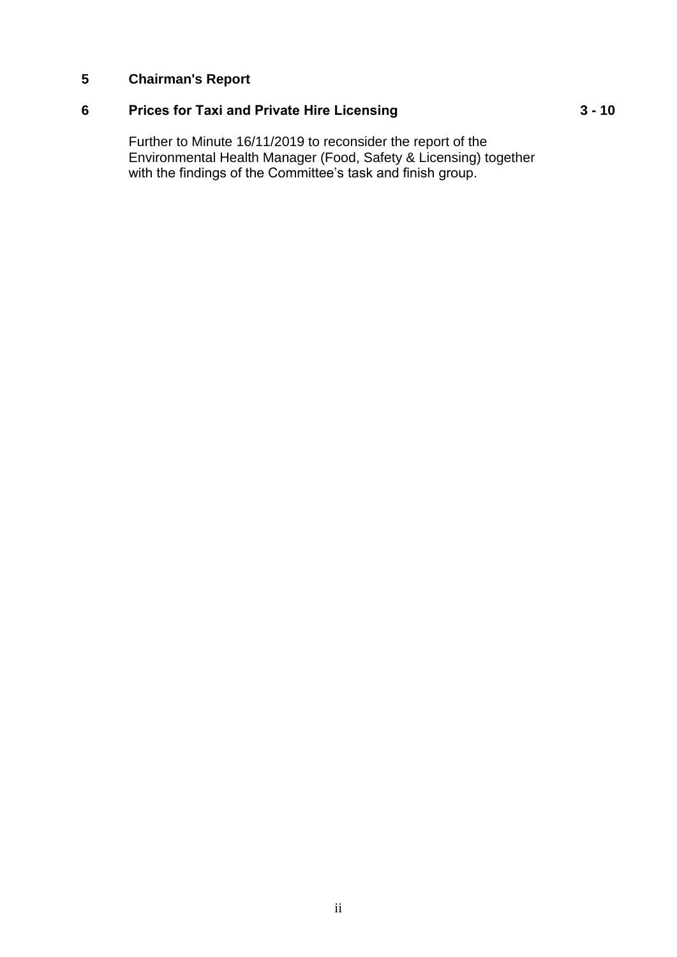#### **5 Chairman's Report**

## **6 Prices for Taxi and Private Hire Licensing**

Further to Minute 16/11/2019 to reconsider the report of the Environmental Health Manager (Food, Safety & Licensing) together with the findings of the Committee's task and finish group.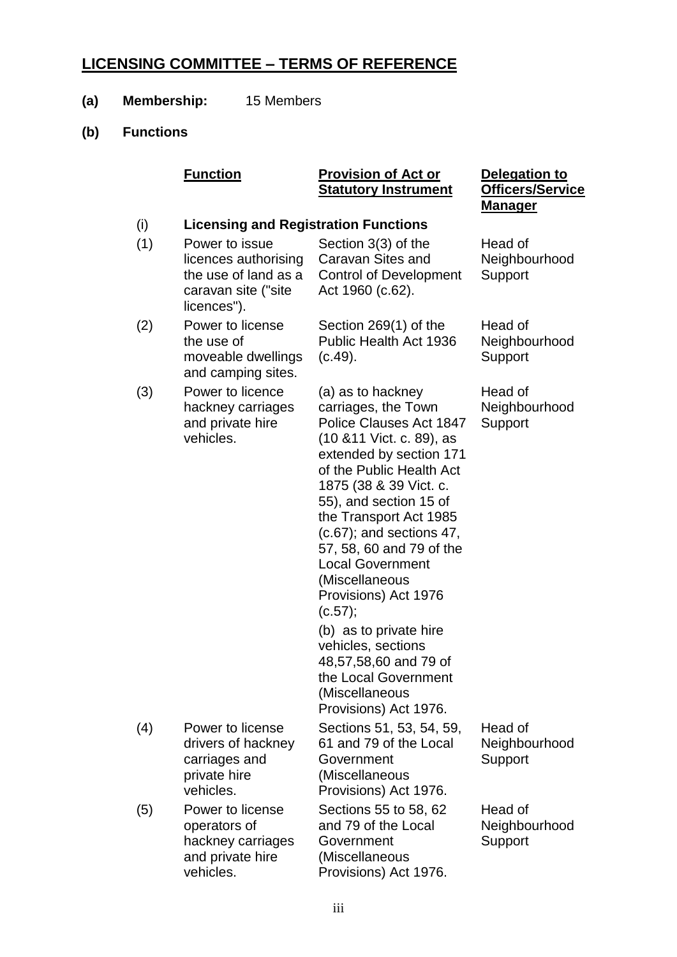## **LICENSING COMMITTEE – TERMS OF REFERENCE**

- **(a) Membership:** 15 Members
- **(b) Functions**

|     | <b>Function</b> | <b>Provision of Act or</b>                   | <b>Delegatic</b> |  |
|-----|-----------------|----------------------------------------------|------------------|--|
|     |                 | <b>Statutory Instrument</b>                  | Officers/        |  |
|     |                 | Manager                                      |                  |  |
| (i) |                 | <u>I iconsing and Rogistration Functions</u> |                  |  |

**Delegation to Officers/Service** 

| W   | Licensing and Registration Functions                                                                 |                                                                                                                                                                                                                                                                                                                                                                                                                                                                                                                              |                                     |
|-----|------------------------------------------------------------------------------------------------------|------------------------------------------------------------------------------------------------------------------------------------------------------------------------------------------------------------------------------------------------------------------------------------------------------------------------------------------------------------------------------------------------------------------------------------------------------------------------------------------------------------------------------|-------------------------------------|
| (1) | Power to issue<br>licences authorising<br>the use of land as a<br>caravan site ("site<br>licences"). | Section 3(3) of the<br>Caravan Sites and<br><b>Control of Development</b><br>Act 1960 (c.62).                                                                                                                                                                                                                                                                                                                                                                                                                                | Head of<br>Neighbourhood<br>Support |
| (2) | Power to license<br>the use of<br>moveable dwellings<br>and camping sites.                           | Section 269(1) of the<br><b>Public Health Act 1936</b><br>(c.49).                                                                                                                                                                                                                                                                                                                                                                                                                                                            | Head of<br>Neighbourhood<br>Support |
| (3) | Power to licence<br>hackney carriages<br>and private hire<br>vehicles.                               | (a) as to hackney<br>carriages, the Town<br>Police Clauses Act 1847<br>(10 & 11 Vict. c. 89), as<br>extended by section 171<br>of the Public Health Act<br>1875 (38 & 39 Vict. c.<br>55), and section 15 of<br>the Transport Act 1985<br>$(c.67)$ ; and sections 47,<br>57, 58, 60 and 79 of the<br><b>Local Government</b><br>(Miscellaneous<br>Provisions) Act 1976<br>(c.57);<br>(b) as to private hire<br>vehicles, sections<br>48,57,58,60 and 79 of<br>the Local Government<br>(Miscellaneous<br>Provisions) Act 1976. | Head of<br>Neighbourhood<br>Support |
| (4) | Power to license<br>drivers of hackney<br>carriages and<br>private hire<br>vehicles.                 | Sections 51, 53, 54, 59,<br>61 and 79 of the Local<br>Government<br>(Miscellaneous<br>Provisions) Act 1976.                                                                                                                                                                                                                                                                                                                                                                                                                  | Head of<br>Neighbourhood<br>Support |
| (5) | Power to license<br>operators of<br>hackney carriages<br>and private hire<br>vehicles.               | Sections 55 to 58, 62<br>and 79 of the Local<br>Government<br>(Miscellaneous<br>Provisions) Act 1976.                                                                                                                                                                                                                                                                                                                                                                                                                        | Head of<br>Neighbourhood<br>Support |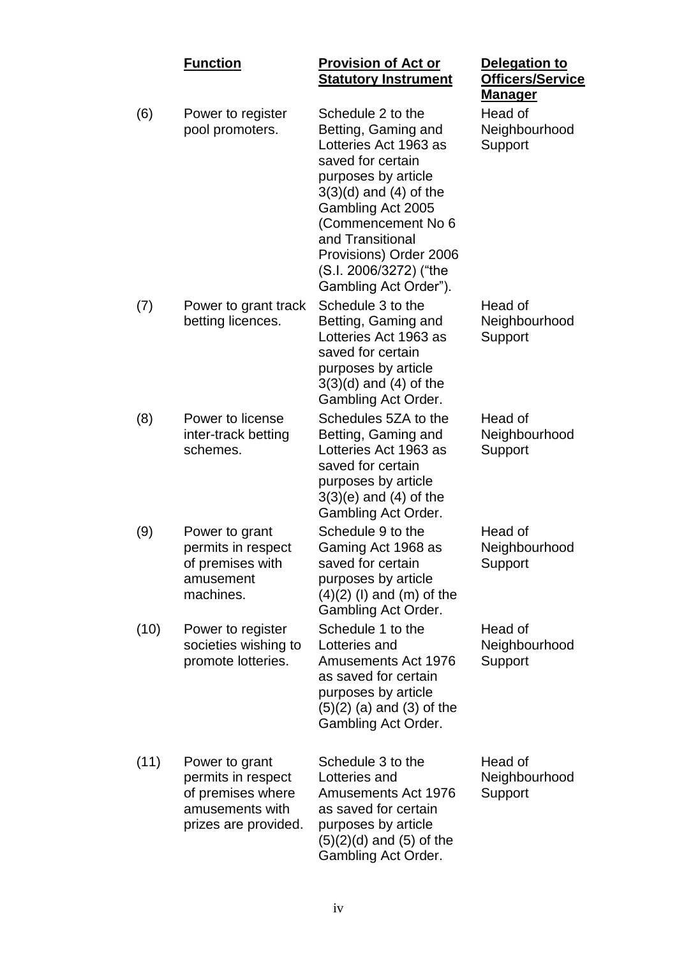|      | <b>Function</b>                                                                                      | <b>Provision of Act or</b><br><b>Statutory Instrument</b>                                                                                                                                                                                                                               | <b>Delegation to</b><br>Officers/Service<br><u>Manager</u> |
|------|------------------------------------------------------------------------------------------------------|-----------------------------------------------------------------------------------------------------------------------------------------------------------------------------------------------------------------------------------------------------------------------------------------|------------------------------------------------------------|
| (6)  | Power to register<br>pool promoters.                                                                 | Schedule 2 to the<br>Betting, Gaming and<br>Lotteries Act 1963 as<br>saved for certain<br>purposes by article<br>$3(3)(d)$ and $(4)$ of the<br>Gambling Act 2005<br>(Commencement No 6<br>and Transitional<br>Provisions) Order 2006<br>(S.I. 2006/3272) ("the<br>Gambling Act Order"). | Head of<br>Neighbourhood<br>Support                        |
| (7)  | Power to grant track<br>betting licences.                                                            | Schedule 3 to the<br>Betting, Gaming and<br>Lotteries Act 1963 as<br>saved for certain<br>purposes by article<br>$3(3)(d)$ and $(4)$ of the<br>Gambling Act Order.                                                                                                                      | Head of<br>Neighbourhood<br>Support                        |
| (8)  | Power to license<br>inter-track betting<br>schemes.                                                  | Schedules 5ZA to the<br>Betting, Gaming and<br>Lotteries Act 1963 as<br>saved for certain<br>purposes by article<br>$3(3)(e)$ and $(4)$ of the<br>Gambling Act Order.                                                                                                                   | Head of<br>Neighbourhood<br>Support                        |
| (9)  | Power to grant<br>permits in respect<br>of premises with<br>amusement<br>machines.                   | Schedule 9 to the<br>Gaming Act 1968 as<br>saved for certain<br>purposes by article<br>$(4)(2)$ (I) and (m) of the<br>Gambling Act Order.                                                                                                                                               | Head of<br>Neighbourhood<br>Support                        |
| (10) | Power to register<br>societies wishing to<br>promote lotteries.                                      | Schedule 1 to the<br>Lotteries and<br><b>Amusements Act 1976</b><br>as saved for certain<br>purposes by article<br>$(5)(2)$ (a) and (3) of the<br>Gambling Act Order.                                                                                                                   | Head of<br>Neighbourhood<br>Support                        |
| (11) | Power to grant<br>permits in respect<br>of premises where<br>amusements with<br>prizes are provided. | Schedule 3 to the<br>Lotteries and<br><b>Amusements Act 1976</b><br>as saved for certain<br>purposes by article<br>$(5)(2)(d)$ and $(5)$ of the<br>Gambling Act Order.                                                                                                                  | Head of<br>Neighbourhood<br>Support                        |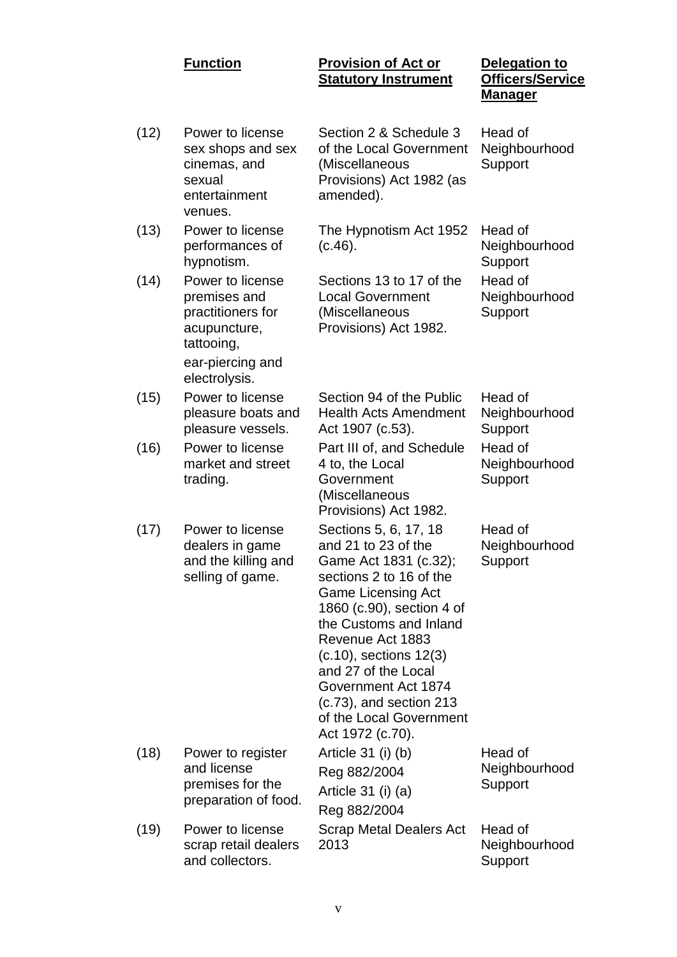#### **Function Provision of Act or Statutory Instrument**

| Delegation to           |
|-------------------------|
| <b>Officers/Service</b> |
| Manager                 |

| (12) | Power to license<br>sex shops and sex<br>cinemas, and<br>sexual<br>entertainment<br>venues.             | Section 2 & Schedule 3<br>of the Local Government<br>(Miscellaneous<br>Provisions) Act 1982 (as<br>amended).                                                                                                                                                                                                                                                       | Head of<br>Neighbourhood<br>Support |
|------|---------------------------------------------------------------------------------------------------------|--------------------------------------------------------------------------------------------------------------------------------------------------------------------------------------------------------------------------------------------------------------------------------------------------------------------------------------------------------------------|-------------------------------------|
| (13) | Power to license<br>performances of<br>hypnotism.                                                       | The Hypnotism Act 1952<br>(c.46).                                                                                                                                                                                                                                                                                                                                  | Head of<br>Neighbourhood<br>Support |
| (14) | Power to license<br>premises and<br>practitioners for<br>acupuncture,<br>tattooing,<br>ear-piercing and | Sections 13 to 17 of the<br><b>Local Government</b><br>(Miscellaneous<br>Provisions) Act 1982.                                                                                                                                                                                                                                                                     | Head of<br>Neighbourhood<br>Support |
| (15) | electrolysis.<br>Power to license<br>pleasure boats and<br>pleasure vessels.                            | Section 94 of the Public<br><b>Health Acts Amendment</b>                                                                                                                                                                                                                                                                                                           | Head of<br>Neighbourhood<br>Support |
| (16) | Power to license<br>market and street<br>trading.                                                       | Act 1907 (c.53).<br>Part III of, and Schedule<br>4 to, the Local<br>Government<br>(Miscellaneous<br>Provisions) Act 1982.                                                                                                                                                                                                                                          | Head of<br>Neighbourhood<br>Support |
| (17) | Power to license<br>dealers in game<br>and the killing and<br>selling of game.                          | Sections 5, 6, 17, 18<br>and 21 to 23 of the<br>Game Act 1831 (c.32);<br>sections 2 to 16 of the<br><b>Game Licensing Act</b><br>1860 (c.90), section 4 of<br>the Customs and Inland<br>Revenue Act 1883<br>$(c.10)$ , sections $12(3)$<br>and 27 of the Local<br>Government Act 1874<br>$(c.73)$ , and section 213<br>of the Local Government<br>Act 1972 (c.70). | Head of<br>Neighbourhood<br>Support |
| (18) | Power to register<br>and license<br>premises for the<br>preparation of food.                            | Article $31$ (i) (b)<br>Reg 882/2004<br>Article 31 (i) (a)<br>Reg 882/2004                                                                                                                                                                                                                                                                                         | Head of<br>Neighbourhood<br>Support |
| (19) | Power to license<br>scrap retail dealers<br>and collectors.                                             | <b>Scrap Metal Dealers Act</b><br>2013                                                                                                                                                                                                                                                                                                                             | Head of<br>Neighbourhood<br>Support |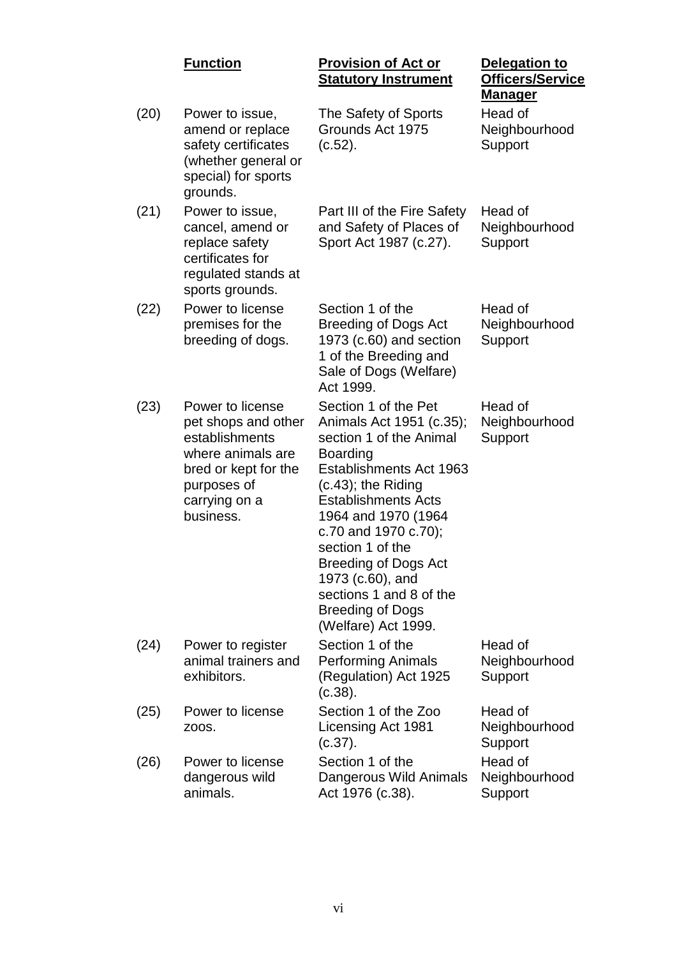|      | <b>Function</b>                                                                                                                                     | <b>Provision of Act or</b><br><b>Statutory Instrument</b>                                                                                                                                                                                                                                                                                                                    | <b>Delegation to</b><br><b>Officers/Service</b><br><u>Manager</u> |
|------|-----------------------------------------------------------------------------------------------------------------------------------------------------|------------------------------------------------------------------------------------------------------------------------------------------------------------------------------------------------------------------------------------------------------------------------------------------------------------------------------------------------------------------------------|-------------------------------------------------------------------|
| (20) | Power to issue,<br>amend or replace<br>safety certificates<br>(whether general or<br>special) for sports<br>grounds.                                | The Safety of Sports<br>Grounds Act 1975<br>(c.52).                                                                                                                                                                                                                                                                                                                          | Head of<br>Neighbourhood<br>Support                               |
| (21) | Power to issue,<br>cancel, amend or<br>replace safety<br>certificates for<br>regulated stands at<br>sports grounds.                                 | Part III of the Fire Safety<br>and Safety of Places of<br>Sport Act 1987 (c.27).                                                                                                                                                                                                                                                                                             | Head of<br>Neighbourhood<br>Support                               |
| (22) | Power to license<br>premises for the<br>breeding of dogs.                                                                                           | Section 1 of the<br><b>Breeding of Dogs Act</b><br>1973 (c.60) and section<br>1 of the Breeding and<br>Sale of Dogs (Welfare)<br>Act 1999.                                                                                                                                                                                                                                   | Head of<br>Neighbourhood<br>Support                               |
| (23) | Power to license<br>pet shops and other<br>establishments<br>where animals are<br>bred or kept for the<br>purposes of<br>carrying on a<br>business. | Section 1 of the Pet<br>Animals Act 1951 (c.35);<br>section 1 of the Animal<br>Boarding<br>Establishments Act 1963<br>$(c.43)$ ; the Riding<br><b>Establishments Acts</b><br>1964 and 1970 (1964<br>c.70 and 1970 c.70);<br>section 1 of the<br><b>Breeding of Dogs Act</b><br>1973 (c.60), and<br>sections 1 and 8 of the<br><b>Breeding of Dogs</b><br>(Welfare) Act 1999. | Head of<br>Neighbourhood<br>Support                               |
| (24) | Power to register<br>animal trainers and<br>exhibitors.                                                                                             | Section 1 of the<br><b>Performing Animals</b><br>(Regulation) Act 1925<br>(c.38).                                                                                                                                                                                                                                                                                            | Head of<br>Neighbourhood<br>Support                               |
| (25) | Power to license<br>Z00S.                                                                                                                           | Section 1 of the Zoo<br>Licensing Act 1981<br>(c.37).                                                                                                                                                                                                                                                                                                                        | Head of<br>Neighbourhood<br>Support                               |
| (26) | Power to license<br>dangerous wild<br>animals.                                                                                                      | Section 1 of the<br>Dangerous Wild Animals<br>Act 1976 (c.38).                                                                                                                                                                                                                                                                                                               | Head of<br>Neighbourhood<br>Support                               |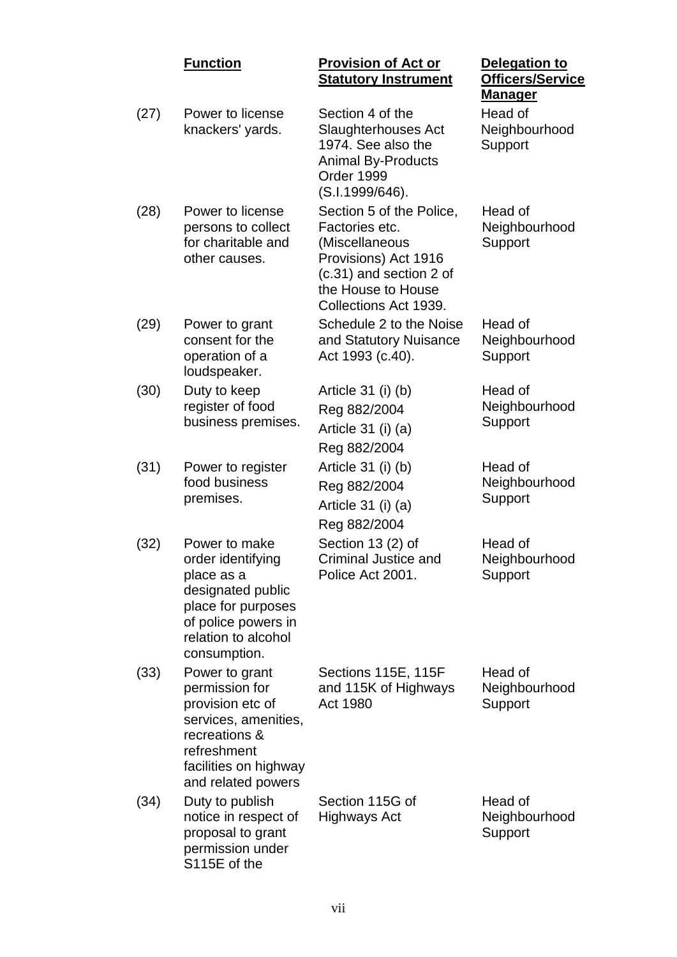|      | <b>Function</b>                                                                                                                                             | <b>Provision of Act or</b><br><b>Statutory Instrument</b>                                                                                                      | <b>Delegation to</b><br><b>Officers/Service</b><br><u>Manager</u> |
|------|-------------------------------------------------------------------------------------------------------------------------------------------------------------|----------------------------------------------------------------------------------------------------------------------------------------------------------------|-------------------------------------------------------------------|
| (27) | Power to license<br>knackers' yards.                                                                                                                        | Section 4 of the<br>Slaughterhouses Act<br>1974. See also the<br><b>Animal By-Products</b><br>Order 1999<br>(S.I.1999/646).                                    | Head of<br>Neighbourhood<br>Support                               |
| (28) | Power to license<br>persons to collect<br>for charitable and<br>other causes.                                                                               | Section 5 of the Police,<br>Factories etc.<br>(Miscellaneous<br>Provisions) Act 1916<br>(c.31) and section 2 of<br>the House to House<br>Collections Act 1939. | Head of<br>Neighbourhood<br>Support                               |
| (29) | Power to grant<br>consent for the<br>operation of a<br>loudspeaker.                                                                                         | Schedule 2 to the Noise<br>and Statutory Nuisance<br>Act 1993 (c.40).                                                                                          | Head of<br>Neighbourhood<br>Support                               |
| (30) | Duty to keep<br>register of food<br>business premises.                                                                                                      | Article 31 (i) (b)<br>Reg 882/2004<br>Article 31 (i) (a)<br>Reg 882/2004                                                                                       | Head of<br>Neighbourhood<br>Support                               |
| (31) | Power to register<br>food business<br>premises.                                                                                                             | Article 31 (i) (b)<br>Reg 882/2004<br>Article 31 (i) (a)<br>Reg 882/2004                                                                                       | Head of<br>Neighbourhood<br>Support                               |
| (32) | Power to make<br>order identifying<br>place as a<br>designated public<br>place for purposes<br>of police powers in<br>relation to alcohol<br>consumption.   | Section 13 (2) of<br>Criminal Justice and<br>Police Act 2001.                                                                                                  | Head of<br>Neighbourhood<br>Support                               |
| (33) | Power to grant<br>permission for<br>provision etc of<br>services, amenities,<br>recreations &<br>refreshment<br>facilities on highway<br>and related powers | Sections 115E, 115F<br>and 115K of Highways<br>Act 1980                                                                                                        | Head of<br>Neighbourhood<br>Support                               |
| (34) | Duty to publish<br>notice in respect of<br>proposal to grant<br>permission under<br>S115E of the                                                            | Section 115G of<br>Highways Act                                                                                                                                | Head of<br>Neighbourhood<br>Support                               |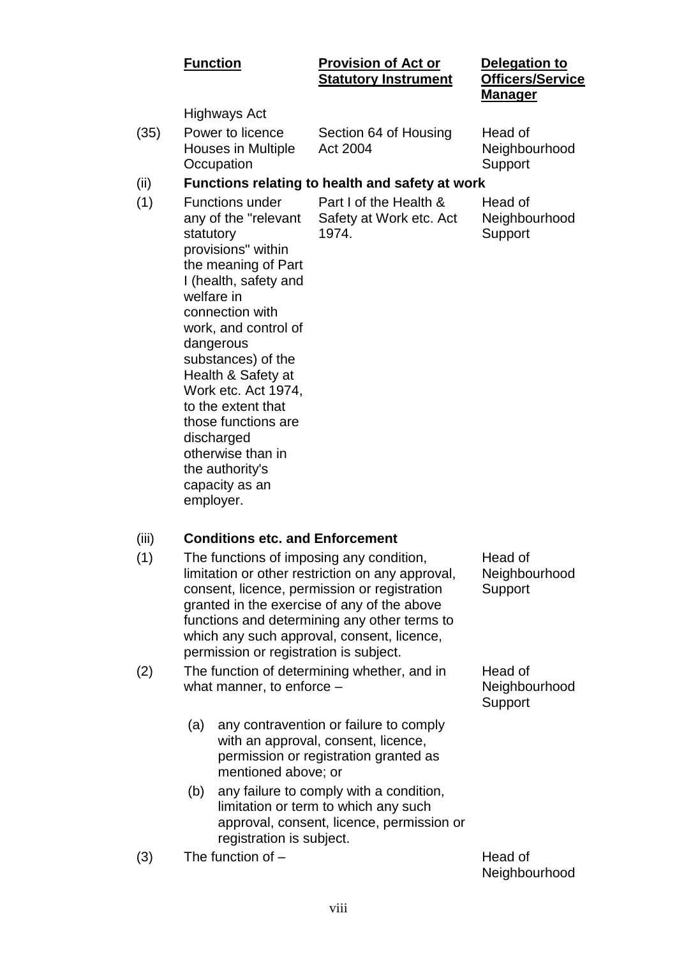#### **Function Provision of Act or Statutory Instrument**

#### **Delegation to Officers/Service Manager**

Highways Act

(35) Power to licence Houses in Multiple **Occupation** 

Section 64 of Housing Act 2004

Head of Neighbourhood Support

#### (ii) **Functions relating to health and safety at work**

(1) Functions under any of the "relevant statutory provisions" within the meaning of Part I (health, safety and welfare in connection with work, and control of dangerous substances) of the Health & Safety at Work etc. Act 1974, to the extent that those functions are discharged otherwise than in the authority's capacity as an employer.

Part I of the Health & Safety at Work etc. Act 1974.

Head of Neighbourhood **Support** 

- (iii) **Conditions etc. and Enforcement**
- (1) The functions of imposing any condition, limitation or other restriction on any approval, consent, licence, permission or registration granted in the exercise of any of the above functions and determining any other terms to which any such approval, consent, licence, permission or registration is subject.
- (2) The function of determining whether, and in what manner, to enforce –
	- (a) any contravention or failure to comply with an approval, consent, licence, permission or registration granted as mentioned above; or
	- (b) any failure to comply with a condition, limitation or term to which any such approval, consent, licence, permission or registration is subject.
- $(3)$  The function of  $-$

Head of **Neighbourhood Support** 

Head of Neighbourhood **Support** 

Neighbourhood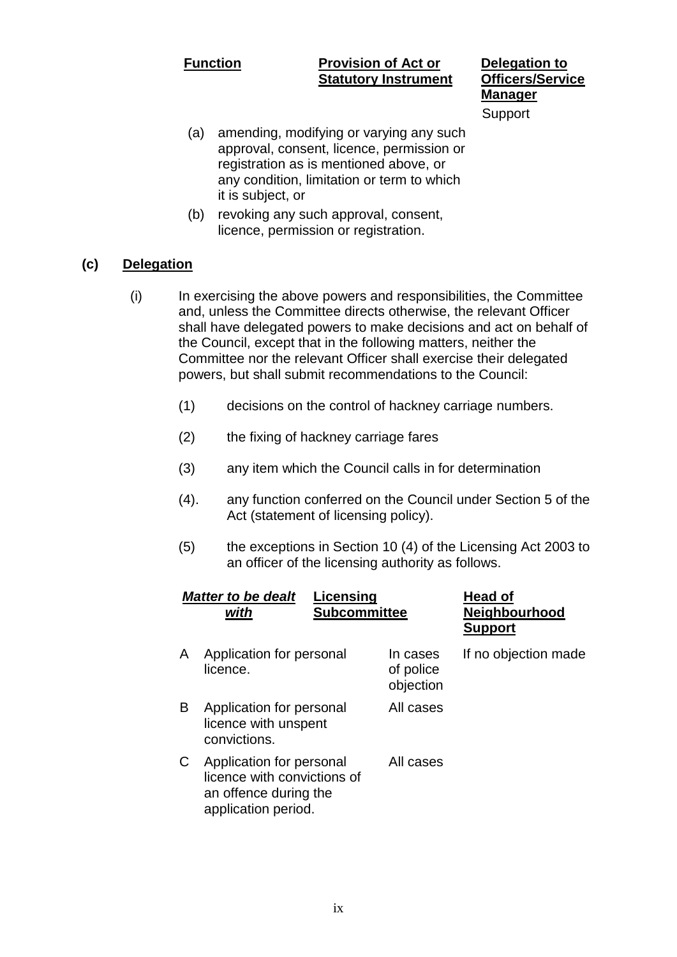#### **Function Provision of Act or Statutory Instrument**

**Delegation to Officers/Service Manager** Support

- (a) amending, modifying or varying any such approval, consent, licence, permission or registration as is mentioned above, or any condition, limitation or term to which it is subject, or
- (b) revoking any such approval, consent, licence, permission or registration.

#### **(c) Delegation**

- (i) In exercising the above powers and responsibilities, the Committee and, unless the Committee directs otherwise, the relevant Officer shall have delegated powers to make decisions and act on behalf of the Council, except that in the following matters, neither the Committee nor the relevant Officer shall exercise their delegated powers, but shall submit recommendations to the Council:
	- (1) decisions on the control of hackney carriage numbers.
	- (2) the fixing of hackney carriage fares
	- (3) any item which the Council calls in for determination
	- (4). any function conferred on the Council under Section 5 of the Act (statement of licensing policy).
	- (5) the exceptions in Section 10 (4) of the Licensing Act 2003 to an officer of the licensing authority as follows.

|   | <b>Matter to be dealt</b><br>with                                                                       | Licensing<br><b>Subcommittee</b> |                                    | <b>Head of</b><br><b>Neighbourhood</b><br><b>Support</b> |
|---|---------------------------------------------------------------------------------------------------------|----------------------------------|------------------------------------|----------------------------------------------------------|
| A | Application for personal<br>licence.                                                                    |                                  | In cases<br>of police<br>objection | If no objection made                                     |
| B | Application for personal<br>licence with unspent<br>convictions.                                        |                                  | All cases                          |                                                          |
| C | Application for personal<br>licence with convictions of<br>an offence during the<br>application period. |                                  | All cases                          |                                                          |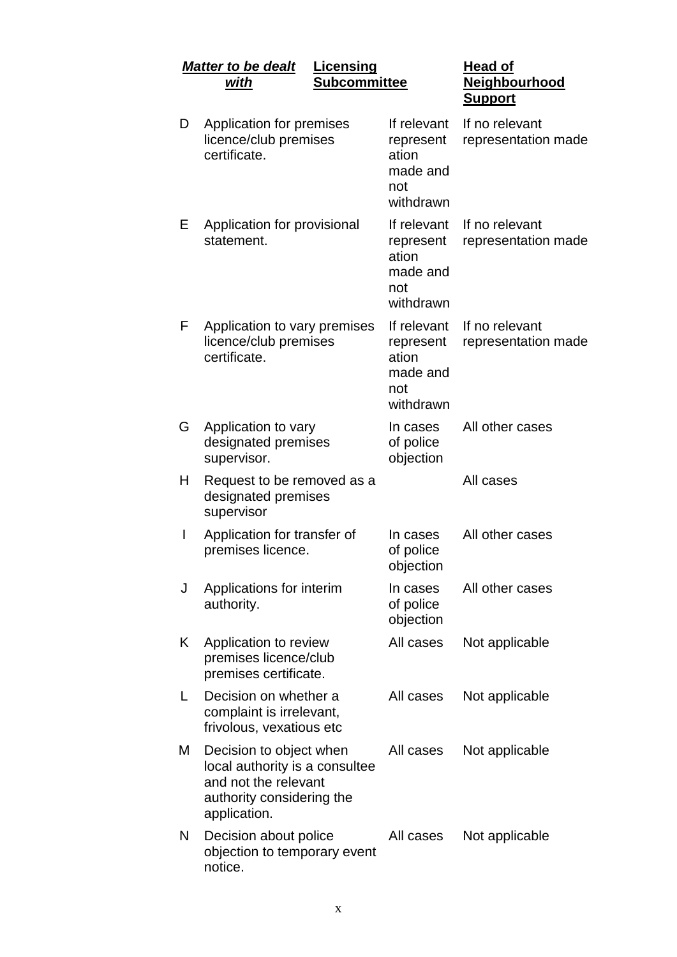|              | <b>Matter to be dealt</b>                                                                                                      | Licensing           |                                                                   | <b>Head of</b>                        |
|--------------|--------------------------------------------------------------------------------------------------------------------------------|---------------------|-------------------------------------------------------------------|---------------------------------------|
|              | <u>with</u>                                                                                                                    | <b>Subcommittee</b> |                                                                   | Neighbourhood<br><u>Support</u>       |
| D            | Application for premises<br>licence/club premises<br>certificate.                                                              |                     | If relevant<br>represent<br>ation<br>made and<br>not<br>withdrawn | If no relevant<br>representation made |
| Е            | Application for provisional<br>statement.                                                                                      |                     | If relevant<br>represent<br>ation<br>made and<br>not<br>withdrawn | If no relevant<br>representation made |
| F            | Application to vary premises<br>licence/club premises<br>certificate.                                                          |                     | If relevant<br>represent<br>ation<br>made and<br>not<br>withdrawn | If no relevant<br>representation made |
| G            | Application to vary<br>designated premises<br>supervisor.                                                                      |                     | In cases<br>of police<br>objection                                | All other cases                       |
| H            | Request to be removed as a<br>designated premises<br>supervisor                                                                |                     |                                                                   | All cases                             |
| $\mathsf{l}$ | Application for transfer of<br>premises licence.                                                                               |                     | In cases<br>of police<br>objection                                | All other cases                       |
| J            | Applications for interim<br>authority.                                                                                         |                     | In cases<br>of police<br>objection                                | All other cases                       |
| K            | Application to review<br>premises licence/club<br>premises certificate.                                                        |                     | All cases                                                         | Not applicable                        |
| L            | Decision on whether a<br>complaint is irrelevant,<br>frivolous, vexatious etc                                                  |                     | All cases                                                         | Not applicable                        |
| Μ            | Decision to object when<br>local authority is a consultee<br>and not the relevant<br>authority considering the<br>application. |                     | All cases                                                         | Not applicable                        |
| N            | Decision about police<br>objection to temporary event<br>notice.                                                               |                     | All cases                                                         | Not applicable                        |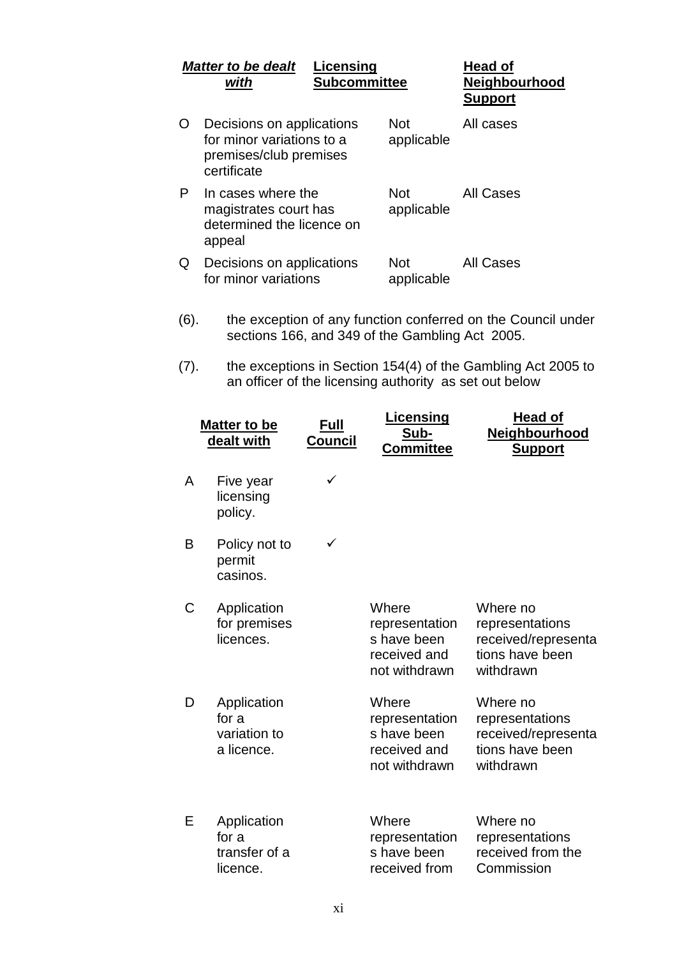|      | <b>Matter to be dealt</b><br>with                                                               | Licensing<br><b>Subcommittee</b> |                                                                         | Head of<br><b>Neighbourhood</b><br><b>Support</b>                                  |
|------|-------------------------------------------------------------------------------------------------|----------------------------------|-------------------------------------------------------------------------|------------------------------------------------------------------------------------|
| O    | Decisions on applications<br>for minor variations to a<br>premises/club premises<br>certificate |                                  | <b>Not</b><br>applicable                                                | All cases                                                                          |
| P    | In cases where the<br>magistrates court has<br>determined the licence on<br>appeal              |                                  | <b>Not</b><br>applicable                                                | <b>All Cases</b>                                                                   |
| Q    | Decisions on applications<br>for minor variations                                               |                                  | <b>Not</b><br>applicable                                                | <b>All Cases</b>                                                                   |
| (6). |                                                                                                 |                                  | sections 166, and 349 of the Gambling Act 2005.                         | the exception of any function conferred on the Council under                       |
| (7). |                                                                                                 |                                  | an officer of the licensing authority as set out below                  | the exceptions in Section 154(4) of the Gambling Act 2005 to                       |
|      | Matter to be<br>dealt with                                                                      | <u>Full</u><br>Council           | <u>Licensing</u><br>Sub-<br><b>Committee</b>                            | <u>Head of</u><br><b>Neighbourhood</b><br><b>Support</b>                           |
| A    | Five year<br>licensing<br>policy.                                                               | ✓                                |                                                                         |                                                                                    |
| B    | Policy not to<br>permit<br>casinos.                                                             |                                  |                                                                         |                                                                                    |
| C    | Application<br>for premises<br>licences.                                                        |                                  | Where<br>representation<br>s have been<br>received and<br>not withdrawn | Where no<br>representations<br>received/representa<br>tions have been<br>withdrawn |
| D    | Application<br>for a<br>variation to<br>a licence.                                              |                                  | Where<br>representation<br>s have been<br>received and<br>not withdrawn | Where no<br>representations<br>received/representa<br>tions have been<br>withdrawn |
| Е    | Application<br>for a<br>transfer of a<br>licence.                                               |                                  | Where<br>representation<br>s have been<br>received from                 | Where no<br>representations<br>received from the<br>Commission                     |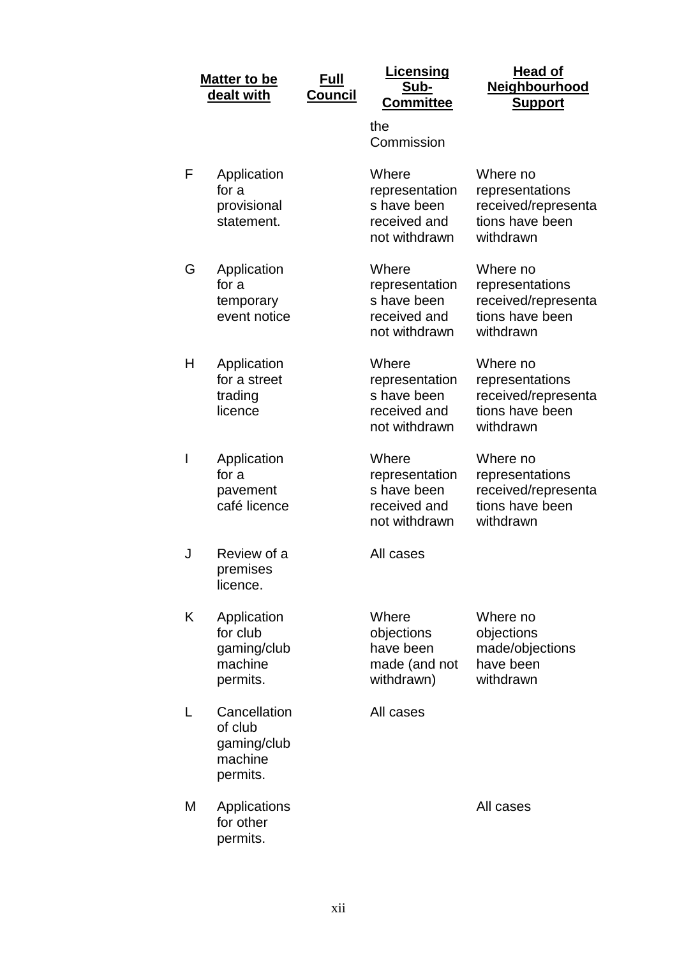|   | <u>Matter to be</u><br>dealt with                             | <u>Full</u><br><b>Council</b> | <b>Licensing</b><br>Sub-<br><b>Committee</b>                            | <b>Head of</b><br>Neighbourhood<br><b>Support</b>                                  |
|---|---------------------------------------------------------------|-------------------------------|-------------------------------------------------------------------------|------------------------------------------------------------------------------------|
|   |                                                               |                               | the<br>Commission                                                       |                                                                                    |
| F | Application<br>for a<br>provisional<br>statement.             |                               | Where<br>representation<br>s have been<br>received and<br>not withdrawn | Where no<br>representations<br>received/representa<br>tions have been<br>withdrawn |
| G | Application<br>for a<br>temporary<br>event notice             |                               | Where<br>representation<br>s have been<br>received and<br>not withdrawn | Where no<br>representations<br>received/representa<br>tions have been<br>withdrawn |
| Н | Application<br>for a street<br>trading<br>licence             |                               | Where<br>representation<br>s have been<br>received and<br>not withdrawn | Where no<br>representations<br>received/representa<br>tions have been<br>withdrawn |
| I | Application<br>for a<br>pavement<br>café licence              |                               | Where<br>representation<br>s have been<br>received and<br>not withdrawn | Where no<br>representations<br>received/representa<br>tions have been<br>withdrawn |
| J | Review of a<br>premises<br>licence.                           |                               | All cases                                                               |                                                                                    |
| K | Application<br>for club<br>gaming/club<br>machine<br>permits. |                               | Where<br>objections<br>have been<br>made (and not<br>withdrawn)         | Where no<br>objections<br>made/objections<br>have been<br>withdrawn                |
|   | Cancellation<br>of club<br>gaming/club<br>machine<br>permits. |                               | All cases                                                               |                                                                                    |
| M | Applications<br>for other<br>permits.                         |                               |                                                                         | All cases                                                                          |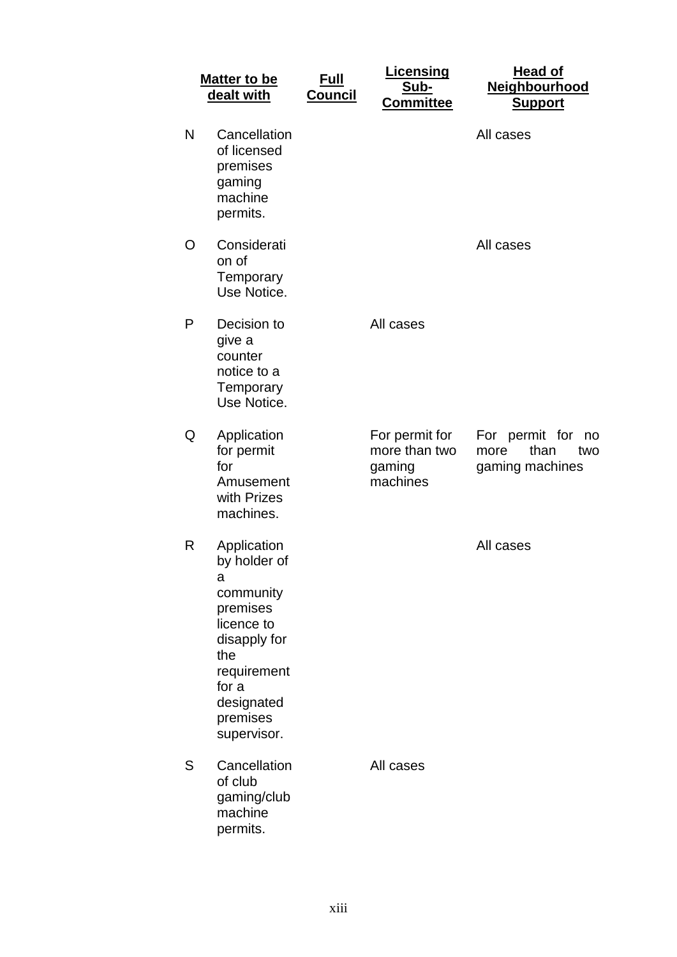|   | <b>Matter to be</b><br>dealt with                                                                                                                               | <u>Full</u><br><b>Council</b> | <u>Licensing</u><br>Sub-<br><b>Committee</b>          | <b>Head of</b><br>Neighbourhood<br><b>Support</b>              |
|---|-----------------------------------------------------------------------------------------------------------------------------------------------------------------|-------------------------------|-------------------------------------------------------|----------------------------------------------------------------|
| N | Cancellation<br>of licensed<br>premises<br>gaming<br>machine<br>permits.                                                                                        |                               |                                                       | All cases                                                      |
| O | Considerati<br>on of<br>Temporary<br>Use Notice.                                                                                                                |                               |                                                       | All cases                                                      |
| Ρ | Decision to<br>give a<br>counter<br>notice to a<br>Temporary<br>Use Notice.                                                                                     |                               | All cases                                             |                                                                |
| Q | Application<br>for permit<br>for<br>Amusement<br>with Prizes<br>machines.                                                                                       |                               | For permit for<br>more than two<br>gaming<br>machines | For permit for<br>no<br>than<br>more<br>two<br>gaming machines |
| R | Application<br>by holder of<br>а<br>community<br>premises<br>licence to<br>disapply for<br>the<br>requirement<br>for a<br>designated<br>premises<br>supervisor. |                               |                                                       | All cases                                                      |
| S | Cancellation<br>of club<br>gaming/club<br>machine<br>permits.                                                                                                   |                               | All cases                                             |                                                                |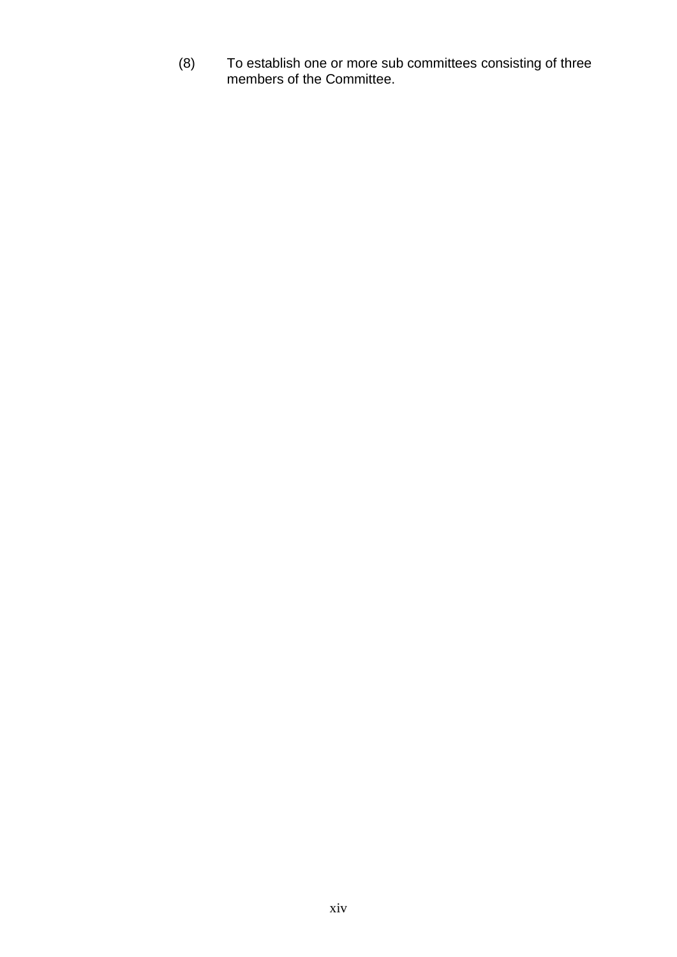(8) To establish one or more sub committees consisting of three members of the Committee.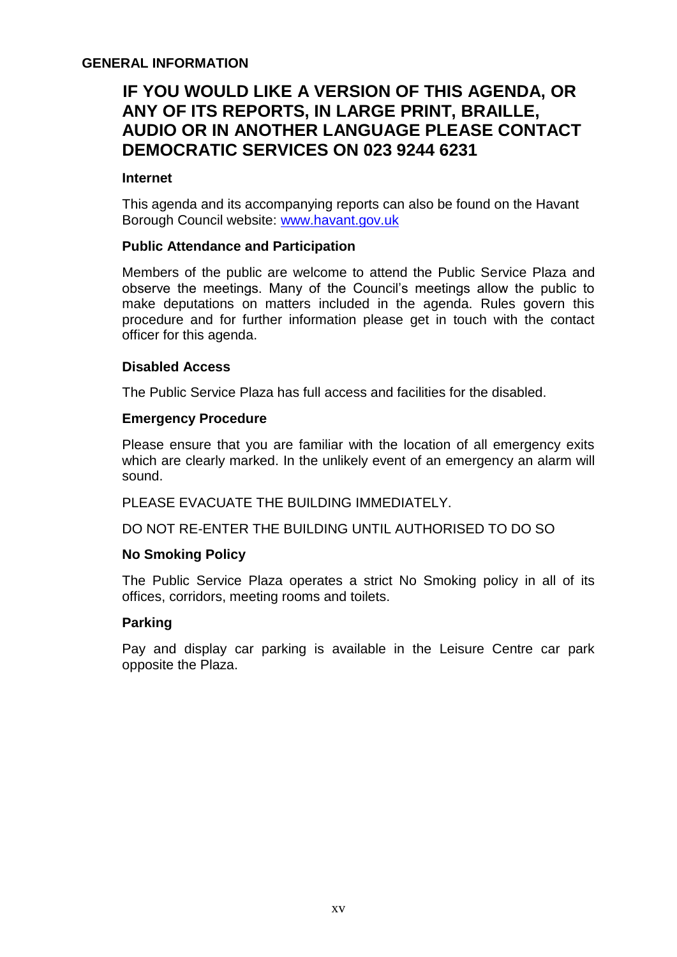#### **GENERAL INFORMATION**

## **IF YOU WOULD LIKE A VERSION OF THIS AGENDA, OR ANY OF ITS REPORTS, IN LARGE PRINT, BRAILLE, AUDIO OR IN ANOTHER LANGUAGE PLEASE CONTACT DEMOCRATIC SERVICES ON 023 9244 6231**

#### **Internet**

This agenda and its accompanying reports can also be found on the Havant Borough Council website: [www.havant.gov.uk](http://www.havant.gov.uk/)

#### **Public Attendance and Participation**

Members of the public are welcome to attend the Public Service Plaza and observe the meetings. Many of the Council's meetings allow the public to make deputations on matters included in the agenda. Rules govern this procedure and for further information please get in touch with the contact officer for this agenda.

#### **Disabled Access**

The Public Service Plaza has full access and facilities for the disabled.

#### **Emergency Procedure**

Please ensure that you are familiar with the location of all emergency exits which are clearly marked. In the unlikely event of an emergency an alarm will sound.

PLEASE EVACUATE THE BUILDING IMMEDIATELY.

DO NOT RE-ENTER THE BUILDING UNTIL AUTHORISED TO DO SO

#### **No Smoking Policy**

The Public Service Plaza operates a strict No Smoking policy in all of its offices, corridors, meeting rooms and toilets.

#### **Parking**

Pay and display car parking is available in the Leisure Centre car park opposite the Plaza.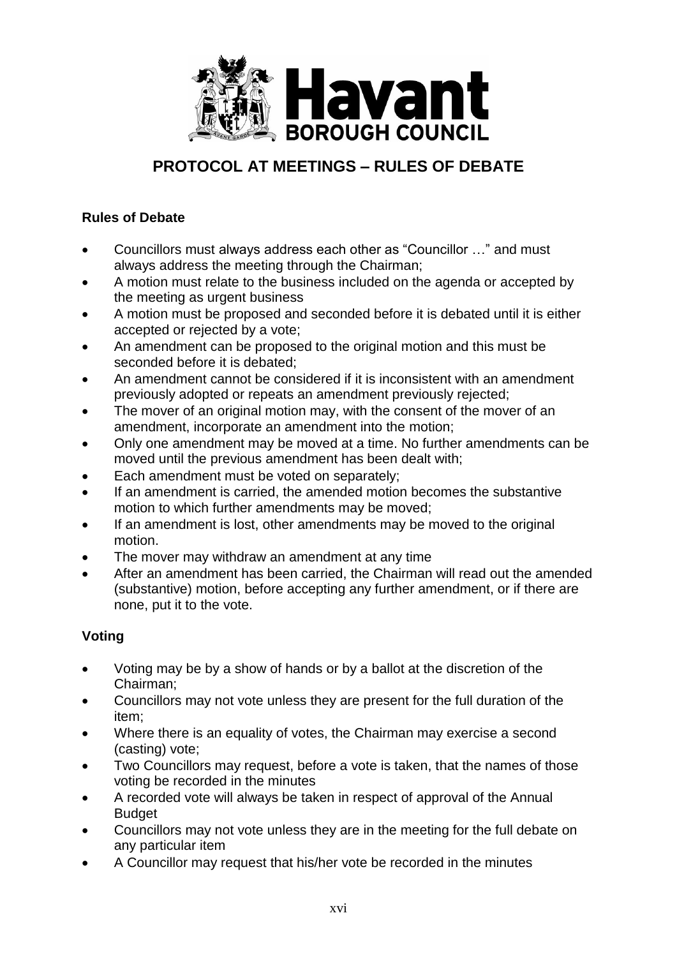

## **PROTOCOL AT MEETINGS – RULES OF DEBATE**

#### **Rules of Debate**

- Councillors must always address each other as "Councillor …" and must always address the meeting through the Chairman;
- A motion must relate to the business included on the agenda or accepted by the meeting as urgent business
- A motion must be proposed and seconded before it is debated until it is either accepted or rejected by a vote;
- An amendment can be proposed to the original motion and this must be seconded before it is debated;
- An amendment cannot be considered if it is inconsistent with an amendment previously adopted or repeats an amendment previously rejected;
- The mover of an original motion may, with the consent of the mover of an amendment, incorporate an amendment into the motion;
- Only one amendment may be moved at a time. No further amendments can be moved until the previous amendment has been dealt with;
- Each amendment must be voted on separately;
- If an amendment is carried, the amended motion becomes the substantive motion to which further amendments may be moved;
- If an amendment is lost, other amendments may be moved to the original motion.
- The mover may withdraw an amendment at any time
- After an amendment has been carried, the Chairman will read out the amended (substantive) motion, before accepting any further amendment, or if there are none, put it to the vote.

### **Voting**

- Voting may be by a show of hands or by a ballot at the discretion of the Chairman;
- Councillors may not vote unless they are present for the full duration of the item;
- Where there is an equality of votes, the Chairman may exercise a second (casting) vote;
- Two Councillors may request, before a vote is taken, that the names of those voting be recorded in the minutes
- A recorded vote will always be taken in respect of approval of the Annual Budget
- Councillors may not vote unless they are in the meeting for the full debate on any particular item
- A Councillor may request that his/her vote be recorded in the minutes